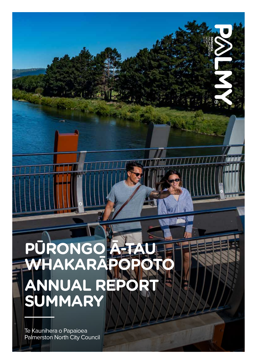### **PŪRONGO Ā-TAU WHAKARĀPOPOTO ANNUAL REPORT SUMMARY**

Te Kaunihera o Papaioea Palmerston North City Council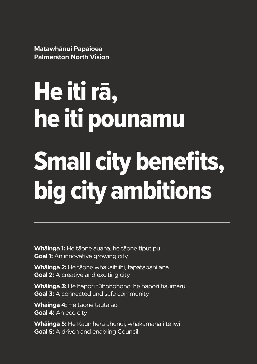**Matawhānui Papaioea Palmerston North Vision**

He iti rā, he iti pounamu Small city benefits, big city ambitions

**Whāinga 1:** He tāone auaha, he tāone tiputipu **Goal 1:** An innovative growing city

**Whāinga 2:** He tāone whakaihiihi, tapatapahi ana **Goal 2:** A creative and exciting city

**Whāinga 3:** He hapori tūhonohono, he hapori haumaru **Goal 3:** A connected and safe community

**Whāinga 4:** He tāone tautaiao **Goal 4:** An eco city

**Whāinga 5:** He Kaunihera ahunui, whakamana i te iwi **Goal 5:** A driven and enabling Council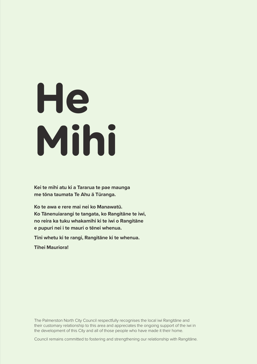# **He Mihi**

**Kei te mihi atu ki a Tararua te pae maunga me tōna taumata Te Ahu ā Tūranga.**

**Ko te awa e rere mai nei ko Manawatū. Ko Tānenuiarangi te tangata, ko Rangitāne te iwi, no reira ka tuku whakamihi ki te iwi o Rangitāne e pupuri nei i te mauri o tēnei whenua.**

**Tini whetu ki te rangi, Rangitāne ki te whenua.**

**Tihei Mauriora!**

The Palmerston North City Council respectfully recognises the local iwi Rangitāne and their customary relationship to this area and appreciates the ongoing support of the iwi in the development of this City and all of those people who have made it their home.

Council remains committed to fostering and strengthening our relationship with Rangitāne.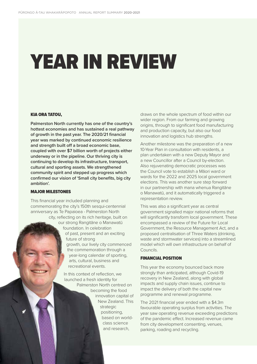# YEAR IN REVIEW

#### KIA ORA TATOU,

**Palmerston North currently has one of the country's hottest economies and has sustained a real pathway of growth in the past year. The 2020/21 financial year was marked by continued economic resilience and strength built off a broad economic base, coupled with over \$7 billion worth of projects either underway or in the pipeline. Our thriving city is continuing to develop its infrastructure, transport, cultural and sporting assets. We strengthened community spirit and stepped up progress which confirmed our vision of 'Small city benefits, big city ambition'.**

#### MAJOR MILESTONES

This financial year included planning and commemorating the city's 150th sesqui-centennial anniversary as Te Papaioea - Palmerston North city, reflecting on its rich heritage, built on

our strong Rangitāne o Manawatū foundation. In celebration of past, present and an exciting future of strong growth, our lively city commenced the commemoration through a year-long calendar of sporting, arts, cultural, business and recreational events.

In this context of reflection, we launched a fresh identity for Palmerston North centred on becoming the food innovation capital of New Zealand. This strategic positioning, based on worldclass science and research,

draws on the whole spectrum of food within our wider region. From our farming and growing origins, through to significant food manufacturing and production capacity, but also our food innovation and logistics hub strengths.

Another milestone was the preparation of a new 10-Year Plan in consultation with residents, a plan undertaken with a new Deputy Mayor and a new Councillor after a Council by-election. Also rejuvenating democratic processes was the Council vote to establish a Māori ward or wards for the 2022 and 2025 local government elections. This was another sure step forward in our partnership with mana whenua Rangitāne o Manawatū, and it automatically triggered a representation review.

This was also a significant year as central government signalled major national reforms that will significantly transform local government. These encompassed a review of the Future for Local Government, the Resource Management Act, and a proposed centralisation of Three Waters (drinking, waste and stormwater services) into a streamlined model which will own infrastructure on behalf of Councils.

#### FINANCIAL POSITION

This year the economy bounced back more strongly than anticipated, although Covid-19 recovery in New Zealand, along with global impacts and supply chain issues, continue to impact the delivery of both the capital new programme and renewal programme.

The 2021 financial year ended with a \$4.3m favourable operating surplus from activities. The year saw operating revenue exceeding predictions of the pandemic effect. Increased revenue came from city development consenting, venues, parking, roading and recycling.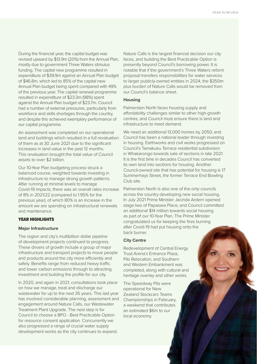During the financial year, the capital budget was revised upward by \$13.9m (20%) from the Annual Plan, mostly due to government Three Waters stimulus funding. The capital new programme resulted in expenditure of \$39.9m against an Annual Plan budget of \$46.8m, which led to 85% of the capital new Annual Plan budget being spent compared with 49% of the previous year. The capital renewal programme resulted in expenditure of \$23.3m (98%) spent against the Annual Plan budget of \$23.7m. Council had a number of external pressures, particularly from workforce and skills shortages through the country, and despite this achieved exemplary performance of our capital programme.

An assessment was completed on our operational land and buildings which resulted in a full revaluation of them as at 30 June 2021 due to the significant increases in land value in the past 12 months. This revaluation brought the total value of Council assets to over \$2 billion.

Our 10-Year Plan budgeting process struck a balanced course, weighted towards investing in infrastructure to manage strong growth patterns. After running at minimal levels to manage Covid-19 impacts, there was an overall rates increase of 8% in 2021/22 (compared to 1.95% for the previous year), of which 80% is an increase in the amount we are spending on infrastructural renewals and maintenance.

#### YEAR HIGHLIGHTS

#### **Major Infrastructure**

The region and city's multibillion dollar pipeline of development projects continued to progress. These drivers of growth include a group of major infrastructure and transport projects to move people and products around the city more efficiently and safely. Benefits range from reduced heavy traffic and lower carbon emissions through to attracting investment and building the profile for our city.

In 2020, and again in 2021, consultations took place on how we manage, treat and discharge our wastewater for up to the next 35 years. This last year has involved considerable planning, assessment and engagement around Nature Calls, our Wastewater Treatment Plant Upgrade. The next step is for Council to choose a BPO - Best Practicable Option for resource consent application. Concurrently we also progressed a range of crucial water supply development works as the city continues to expand.

Nature Calls is the largest financial decision our city faces, and building the Best Practicable Option is presently beyond Council's borrowing power. It is notable that if the government's Three Waters reform proposal transfers responsibilities for water services to larger publicly-owned entities in 2024, the \$350m plus burden of Nature Calls would be removed from our Council's balance sheet.

#### **Housing**

Palmerston North faces housing supply and affordability challenges similar to other high-growth centres, and Council must ensure there is land and infrastructure to meet demand.

We need an additional 13,000 homes by 2050, and Council has been a national leader through investing in housing. Earthworks and civil works progressed on Council's Tamakuku Terrace residential subdivision in Whakarongo towards sale of sections in late 2021. It is the first time in decades Council has converted its own land into sections for housing. Another Council-owned site that has potential for housing is 17 Summerhays Street, the former Terrace End Bowling Club site.

Palmerston North is also one of the only councils across the country developing new social housing. In July 2021 Prime Minister Jacinda Ardern opened stage two of Papaioea Place, and Council committed an additional \$14 million towards social housing as part of our 10-Year Plan. The Prime Minister congratulated us for keeping the fires burning after Covid-19 had put housing onto the back burner.

#### **City Centre**

Redevelopment of Central Energy Trust Arena's Entrance Plaza, Pits Relocation, and Southern and Western Embankment was completed, along with cultural and heritage overlay and other works.

The Speedway Pits were operational for New Zealand Stockcars Teams Championships in February, a weekend that contributes an estimated \$6m to our local economy.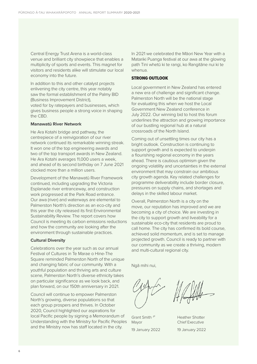Central Energy Trust Arena is a world-class venue and brilliant city showpiece that enables a multiplicity of sports and events. This magnet for visitors and residents alike will stimulate our local economy into the future.

In addition to this and other catalyst projects enlivening the city centre, this year notably saw the formal establishment of the Palmy BID (Business Improvement District), voted for by ratepayers and businesses, which gives business people a strong voice in shaping the CBD.

#### **Manawatū River Network**

He Ara Kotahi bridge and pathway, the centrepiece of a reinvigoration of our river network continued its remarkable winning streak. It won one of the top engineering awards and two of the top transport awards in New Zealand. He Ara Kotahi averages 11,000 users a week, and ahead of its second birthday on 7 June 2021 clocked more than a million users.

Development of the Manawatū River Framework continued, including upgrading the Victoria Esplanade river entranceway, and construction work progressed at the Park Road entrance. Our awa (river) and waterways are elemental to Palmerston North's direction as an eco-city and this year the city released its first Environmental Sustainability Review. The report covers how Council is meeting its carbon emissions reductions and how the community are looking after the environment through sustainable practices.

#### **Cultural Diversity**

Celebrations over the year such as our annual Festival of Cultures in Te Marae o Hine-The Square reminded Palmerston North of the unique and changing fabric of our community. With a youthful population and thriving arts and culture scene, Palmerston North's diverse ethnicity takes on particular significance as we look back, and plan forward, on our 150th anniversary in 2021.

Council will continue to empower Palmerston North's growing, diverse populations so that each group prospers and thrives. In October 2020, Council highlighted our aspirations for local Pacific people by signing a Memorandum of Understanding with the Ministry for Pacific Peoples and the Ministry now has staff located in the city.

In 2021 we celebrated the Māori New Year with a Matariki Puanga festival at our awa at the glowing path Tini whetū ki te rangi, ko Rangitāne nui ki te whenua.

#### STRONG OUTLOOK

Local government in New Zealand has entered a new era of challenge and significant change. Palmerston North will be the national stage for evaluating this when we host the Local Government New Zealand conference in July 2022. Our winning bid to host this forum underlines the attraction and growing importance of our bustling regional hub at a natural crossroads of the North Island.

Coming out of unsettling times our city has a bright outlook. Construction is continuing to support growth and is expected to underpin a flourishing regional economy in the years ahead. There is cautious optimism given the ongoing volatility and uncertainties in the external environment that may constrain our ambitious city growth agenda. Key related challenges for programme deliverability include border closure, pressures on supply chains, and shortages and delays in the skilled labour market.

Overall, Palmerston North is a city on the move, our reputation has improved and we are becoming a city of choice. We are investing in the city to support growth and liveability for a sustainable eco-city that residents are proud to call home. The city has confirmed its bold course, achieved solid momentum, and is set to manage projected growth. Council is ready to partner with our community as we create a thriving, modern and multi-cultural regional city.

Ngā mihi nui,

Grant Smith JP Heather Shotter Mayor Chief Executive 19 January 2022 19 January 2022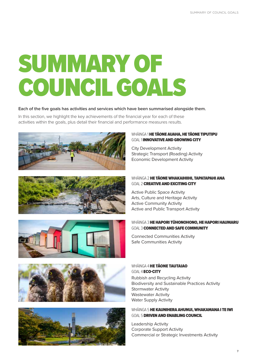# SUMMARY OF COUNCIL GOALS

#### **Each of the five goals has activities and services which have been summarised alongside them.**

In this section, we highlight the key achievements of the financial year for each of these activities within the goals, plus detail their financial and performance measures results.











#### WHĀINGA 1 HE TĀONE AUAHA, HE TĀONE TIPUTIPU GOAL 1 **INNOVATIVE AND GROWING CITY**

City Development Activity Strategic Transport (Roading) Activity Economic Development Activity

#### WHĀINGA 2 HE T**ĀONE WHAKAIHIIHI, TAPATAPAHI ANA** GOAL 2 **CREATIVE AND EXCITING CITY**

Active Public Space Activity Arts, Culture and Heritage Activity Active Community Activity Active and Public Transport Activity

#### WHĀINGA 3 **HE HAPORI TŪHONOHONO, HE HAPORI HAUMARU** GOAL 3 CONNECTED AND SAFE COMMUNITY

Connected Communities Activity Safe Communities Activity

#### Rubbish and Recycling Activity Biodiversity and Sustainable Practices Activity Stormwater Activity Wastewater Activity Water Supply Activity WHĀINGA 4 HE TĀONE TAUTAIAO GOAL 4 ECO-CITY

#### WHĀINGA 5 **HE KAUNIHERA AHUNUI, WHAKAMANA I TE IWI** GOAL 5 DRIVEN AND ENABLING COUNCIL

Leadership Activity Corporate Support Activity Commercial or Strategic Investments Activity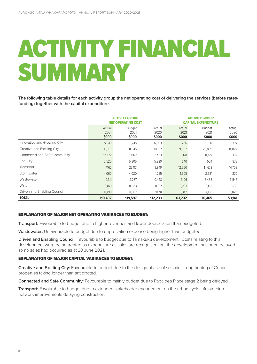# ACTIVITY FINANCIAL SUMMARY

**The following table details for each activity group the net operating cost of delivering the services (before ratesfunding) together with the capital expenditure.**

|                              | <b>ACTIVITY GROUP</b><br><b>NET OPERATING COST</b> |                                |                         | 'IVITY GROUP<br><b>CAPITAL EXPENDITURE</b> |                                |                         |  |
|------------------------------|----------------------------------------------------|--------------------------------|-------------------------|--------------------------------------------|--------------------------------|-------------------------|--|
|                              | Actual<br>2021<br>\$000                            | <b>Budget</b><br>2021<br>\$000 | Actual<br>2020<br>\$000 | Actual<br>2021<br>\$000                    | <b>Budget</b><br>2021<br>\$000 | Actual<br>2020<br>\$000 |  |
| Innovative and Growing City  | 5,949                                              | 6,745                          | 6,803                   | 266                                        | 300                            | 477                     |  |
| Creative and Exciting City   | 30,367                                             | 31,045                         | 30,797                  | 21,902                                     | 23,889                         | 14,024                  |  |
| Connected and Safe Community | 17,222                                             | 17,162                         | 17,113                  | 7,178                                      | 8,727                          | 6,392                   |  |
| Eco-City                     | 5,520                                              | 5,805                          | 5,280                   | 640                                        | 504                            | 978                     |  |
| Transport                    | 17,162                                             | 23,113                         | 19,949                  | 12,660                                     | 14,678                         | 14,708                  |  |
| Stormwater                   | 4,060                                              | 4,020                          | 4,755                   | 1,905                                      | 2,621                          | 1,270                   |  |
| Wastewater                   | 10,311                                             | 9,287                          | 10,428                  | 7,106                                      | 6,455                          | 3,545                   |  |
| Water                        | 8,021                                              | 8,083                          | 8,017                   | 8,233                                      | 9,183                          | 6,721                   |  |
| Driven and Enabling Council  | 11,790                                             | 14,337                         | 9,091                   | 3,342                                      | 4,108                          | 5,026                   |  |
| <b>TOTAL</b>                 | 110,402                                            | 119,597                        | 112,233                 | 63,232                                     | 70,465                         | 53,141                  |  |

#### EXPLANATION OF MAJOR NET OPERATING VARIANCES TO BUDGET:

**Transport:** Favourable to budget due to higher revenues and lower depreciation than budgeted.

**Wastewater:** Unfavourable to budget due to depreciation expense being higher than budgeted.

**Driven and Enabling Council:** Favourable to budget due to Tamakuku development. Costs relating to this development were being treated as expenditure as sales are recognised, but the development has been delayed so no sales had occurred as at 30 June 2021.

#### EXPLANATION OF MAJOR CAPITAL VARIANCES TO BUDGET:

8

**Creative and Exciting City:** Favourable to budget due to the design phase of seismic strengthening of Council properties taking longer than anticipated.

**Connected and Safe Community:** Favourable to mainly budget due to Papaioea Place stage 2 being delayed.

**Transport:** Favourable to budget due to extended stakeholder engagement on the urban cycle infrastructure network improvements delaying construction.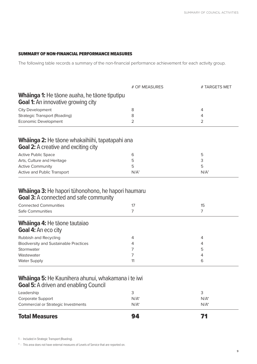#### SUMMARY OF NON-FINANCIAL PERFORMANCE MEASURES

The following table records a summary of the non-financial performance achievement for each activity group.

|                                                                                                          | # OF MEASURES    | # TARGETS MET    |
|----------------------------------------------------------------------------------------------------------|------------------|------------------|
| <b>Whāinga 1:</b> He tāone auaha, he tāone tiputipu<br><b>Goal 1:</b> An innovative growing city         |                  |                  |
| <b>City Development</b>                                                                                  | 8                | 4                |
| <b>Strategic Transport (Roading)</b>                                                                     | 8                | 4                |
| <b>Economic Development</b>                                                                              | 2                | 2                |
| <b>Whāinga 2:</b> He tāone whakaihiihi, tapatapahi ana<br><b>Goal 2:</b> A creative and exciting city    |                  |                  |
| <b>Active Public Space</b>                                                                               | 6                | 5                |
| Arts, Culture and Heritage                                                                               | 5                | 3                |
| <b>Active Community</b>                                                                                  | 5                | 5                |
| Active and Public Transport                                                                              | N/A <sup>1</sup> | N/A <sup>1</sup> |
| <b>Goal 3:</b> A connected and safe community<br><b>Connected Communities</b><br><b>Safe Communities</b> | 17<br>7          | 15<br>7          |
|                                                                                                          |                  |                  |
| <b>Whāinga 4: He tāone tautaiao</b><br><b>Goal 4: An eco city</b>                                        |                  |                  |
| Rubbish and Recycling                                                                                    | 4                | 4                |
| <b>Biodiversity and Sustainable Practices</b>                                                            | 4                | 4                |
| Stormwater                                                                                               | 7                | 5                |
| Wastewater                                                                                               | 7                | 4                |
| <b>Water Supply</b>                                                                                      | 11               | 6                |
| Whainga 5: He Kaunihera ahunui, whakamana i te iwi<br><b>Goal 5:</b> A driven and enabling Council       |                  |                  |
| Leadership                                                                                               | 3                | 3                |
| Corporate Support                                                                                        | $N/A^*$          | $N/A^*$          |
| Commercial or Strategic Investments                                                                      | $N/A^*$          | $N/A^*$          |
| <b>Total Measures</b>                                                                                    | 94               | 71               |

\* - This area does not have external measures of Levels of Service that are reported on.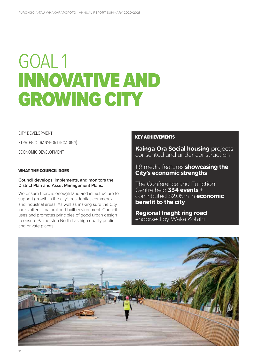# GOAL 1 INNOVATIVE AND GROWING CITY

CITY DEVELOPMENT STRATEGIC TRANSPORT (ROADING) ECONOMIC DEVELOPMENT

#### WHAT THE COUNCIL DOES

**Council develops, implements, and monitors the District Plan and Asset Management Plans.** 

We ensure there is enough land and infrastructure to support growth in the city's residential, commercial, and industrial areas. As well as making sure the City looks after its natural and built environment. Council uses and promotes principles of good urban design to ensure Palmerston North has high quality public and private places.

#### KEY ACHIEVEMENTS

**Kainga Ora Social housing** projects consented and under construction

#### 119 media features **showcasing the City's economic strengths**

The Conference and Function Centre held **334 events** + contributed \$2.05m in **economic benefit to the city**

**Regional freight ring road** endorsed by Waka Kotahi

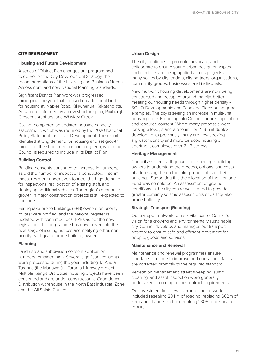#### CITY DEVELOPMENT

#### **Housing and Future Development**

A series of District Plan changes are programmed to deliver on the City Development Strategy, the recommendations of the Housing and Business Needs Assessment, and new National Planning Standards.

Significant District Plan work was progressed throughout the year that focused on additional land for housing at: Napier Road, Kikiwhenua, Kākātangiata, Aokautere, informed by a new structure plan, Roxburgh Crescent, Ashhurst and Whiskey Creek.

Council completed an updated housing capacity assessment, which was required by the 2020 National Policy Statement for Urban Development. The report identified strong demand for housing and set growth targets for the short, medium and long term, which the Council is required to include in its District Plan.

#### **Building Control**

Building consents continued to increase in numbers, as did the number of inspections conducted. Interim measures were undertaken to meet the high demand for inspections, reallocation of existing staff, and deploying additional vehicles. The region's economic growth in major construction projects is still expected to continue.

Earthquake-prone buildings (EPB) owners on priority routes were notified, and the national register is updated with confirmed local EPBs as per the new legislation. This programme has now moved into the next stage of issuing notices and notifying other, nonpriority earthquake-prone building owners.

#### **Planning**

Land-use and subdivision consent application numbers remained high. Several significant consents were processed during the year including Te Ahu a Turanga (the Manawatū – Tararua Highway project, Multiple Kainga Ora Social housing projects have been consented and are under construction, a Countdown Distribution warehouse in the North East Industrial Zone and the All Saints Church.

#### **Urban Design**

The city continues to promote, advocate, and collaborate to ensure sound urban design principles and practices are being applied across projects at many scales by city leaders, city partners, organisations, community groups, businesses, and individuals.

New multi-unit housing developments are now being constructed and occupied around the city, better meeting our housing needs through higher density - SOHO Developments and Papaioea Place being good examples. The city is seeing an increase in multi-unit housing projects coming into Council for pre-application and resource consent. Where many proposals were for single level, stand-alone infill or 2–3-unit duplex developments previously, many are now seeking a greater density and more terraced housing or apartment complexes over 2 –3 storeys.

#### **Heritage Management**

Council assisted earthquake-prone heritage building owners to understand the process, options, and costs of addressing the earthquake-prone status of their buildings. Supporting this the allocation of the Heritage Fund was completed. An assessment of ground conditions in the city centre was started to provide greater certainty seismic assessments of earthquakeprone buildings.

#### **Strategic Transport (Roading)**

Our transport network forms a vital part of Council's vision for a growing and environmentally sustainable city. Council develops and manages our transport network to ensure safe and efficient movement for people, goods and services.

#### **Maintenance and Renewal**

Maintenance and renewal programmes ensure standards continue to improve and operational faults are corrected promptly to the required standard.

Vegetation management, street sweeping, sump cleaning, and asset inspection were generally undertaken according to the contract requirements.

Our investment in renewals around the network included resealing 28 km of roading, replacing 602m of kerb and channel and undertaking 1,305 road surface repairs.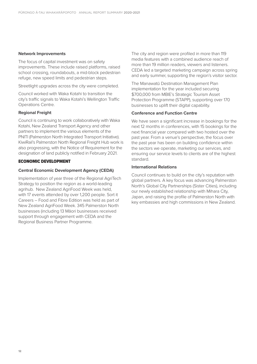#### **Network Improvements**

The focus of capital investment was on safety improvements. These include raised platforms, raised school crossing, roundabouts, a mid-block pedestrian refuge, new speed limits and pedestrian steps.

Streetlight upgrades across the city were completed.

Council worked with Waka Kotahi to transition the city's traffic signals to Waka Kotahi's Wellington Traffic Operations Centre.

#### **Regional Freight**

Council is continuing to work collaboratively with Waka Kotahi, New Zealand Transport Agency and other partners to implement the various elements of the PNITI (Palmerston North Integrated Transport Initiative). KiwiRail's Palmerston North Regional Freight Hub work is also progressing, with the Notice of Requirement for the designation of land publicly notified in February 2021.

#### ECONOMIC DEVELOPMENT

#### **Central Economic Development Agency (CEDA)**

Implementation of year three of the Regional AgriTech Strategy to position the region as a world-leading agrihub. New Zealand AgriFood Week was held, with 17 events attended by over 1,200 people. Sort it Careers – Food and Fibre Edition was held as part of New Zealand AgriFood Week. 345 Palmerston North businesses (including 13 Māori businesses received support through engagement with CEDA and the Regional Business Partner Programme.

The city and region were profiled in more than 119 media features with a combined audience reach of more than 19 million readers, viewers and listeners. CEDA led a targeted marketing campaign across spring and early summer, supporting the region's visitor sector.

The Manawatū Destination Management Plan implementation for the year included securing \$700,000 from MBIE's Strategic Tourism Asset Protection Programme (STAPP), supporting over 170 businesses to uplift their digital capability.

#### **Conference and Function Centre**

We have seen a significant increase in bookings for the next 12 months in conferences, with 15 bookings for the next financial year compared with two hosted over the past year. From a venue's perspective, the focus over the past year has been on building confidence within the sectors we operate, marketing our services, and ensuring our service levels to clients are of the highest standard.

#### **International Relations**

Council continues to build on the city's reputation with global partners. A key focus was advancing Palmerston North's Global City Partnerships (Sister Cities), including our newly established relationship with Mihara City, Japan, and raising the profile of Palmerston North with key embassies and high commissions in New Zealand.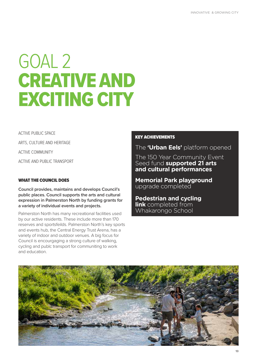# GOAL 2 CREATIVE AND EXCITING CITY

ACTIVE PUBLIC SPACE

ARTS, CULTURE AND HERITAGE

ACTIVE COMMUNITY

ACTIVE AND PUBLIC TRANSPORT

#### WHAT THE COUNCIL DOES

**Council provides, maintains and develops Council's public places. Council supports the arts and cultural expression in Palmerston North by funding grants for a variety of individual events and projects.**

Palmerston North has many recreational facilities used by our active residents. These include more than 170 reserves and sportsfeilds. Palmerston North's key sports and events hub, the Central Energy Trust Arena, has a variety of indoor and outdoor venues. A big focus for Council is encourgaging a strong culture of walking, cycling and publc transport for communiting to work and education.

#### KEY ACHIEVEMENTS

#### The **'Urban Eels'** platform opened

The 150 Year Community Event Seed fund **supported 21 arts and cultural performances**

**Memorial Park playground**  upgrade completed

**Pedestrian and cycling link** completed from Whakarongo School

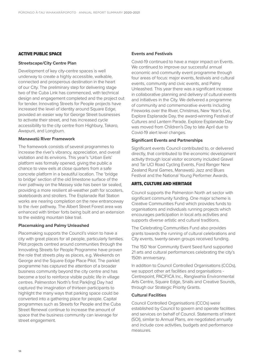#### ACTIVE PUBLIC SPACE

#### **Streetscape/City Centre Plan**

Development of key city-centre spaces is well underway to create a highly accessible, walkable, connected and prosperous destination in the heart of our City. The preliminary step for delivering stage two of the Cuba Link has commenced, with technical design and engagement completed and the project out for tender. Innovating Streets for People projects have increased the level of identity around Square Edge, provided an easier way for George Street businesses to activate their street, and has increased cycle accessibility to the city centre from Highbury, Takaro, Awapuni, and Longburn.

#### **Manawatū River Framework**

The framework consists of several programmes to increase the river's vibrancy, appreciation, and overall visitation and its environs. This year's 'Urban Eels' platform was formally opened, giving the public a chance to view eels at close quarters from a safe concrete platform in a beautiful location. The 'bridge to bridge' section of the old limestone surface of the river pathway on the Massey side has been tar sealed, providing a more resilient all-weather path for scooters, skateboards and strollers. The Esplanade Rail Station works are nearing completion on the new entranceway to the river pathway. The Albert Street Forest area was enhanced with timber forts being built and an extension to the existing mountain bike trail.

#### **Placemaking and Palmy Unleashed**

Placemaking supports the Council's vision to have a city with great places for all people, particularly families. Pilot projects centred around communities through the Innovating Streets for People Programme have proven the role that streets play as places, e.g. Weekends on George and the Square Edge Place Pilot. The parklet programme has captured the attention of a broader business community beyond the city centre and has become a tool to reinforce visible public life in village centres. Palmerston North's first Park(ing) Day had captured the imagination of thirteen participants to highlight the many ways that parking space could be converted into a gathering place for people. Capital programmes such as Streets for People and the Cuba Street Renewal continue to increase the amount of space that the business community can leverage for street engagement.

#### **Events and Festivals**

Covid-19 continued to have a major impact on Events. We continued to improve our successful annual economic and community event programme through four areas of focus: major events, festivals and cultural events, community and civic events, and Palmy Unleashed. This year there was a significant increase in collaborative planning and delivery of cultural events and initiatives in the City. We delivered a programme of community and commemorative events including Fireworks over the River, Christmas, New Year's Eve, Explore Esplanade Day, the award-winning Festival of Cultures and Lantern Parade. Explore Esplanade Day was moved from Children's Day to late April due to Covid-19 alert level changes.

#### **Significant Events and Partnerships**

Significant events Council contributed to, or delivered directly, that contributed to the economic development activity through local visitor economy included Gravel and Tar UCI Road Cycling Events, Ford Ranger New Zealand Rural Games, Manawatū Jazz and Blues Festival and the National Young Performer Awards.

#### ARTS, CULTURE AND HERITAGE

Council supports the Palmerston North art sector with significant community funding. One major scheme is Creative Communities Fund which provides funds to organisations and individuals running projects which encourages participation in local arts activities and supports diverse artistic and cultural traditions.

The Celebrating Communities Fund also provides grants towards the running of cultural celebrations and City events, twenty-seven groups received funding.

The 150 Year Community Event Seed fund supported 21 arts and cultural performances celebrating the city's 150th anniversary.

In addition to Council Controlled Organisations (CCOs), we support other art facilities and organisations - Centrepoint, PACIFICA Inc., Rangiwahia Environmental Arts Centre, Square Edge, Snails and Creative Sounds, through our Strategic Priority Grants.

#### **Cultural Facilities**

Council Controlled Organisations (CCOs) were established by Council to govern and operate facilities and services on behalf of Council. Statements of Intent (SOI), similar to Annual Plans, are negotiated annually and include core activities, budgets and performance measures.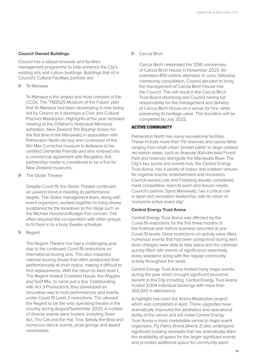#### **Council Owned Buildings**

Council has a robust renewals and facilities management programme to help enhance the City's existing arts and culture buildings. Buildings that sit in Council's Cultural Facilities portfolio are:

 $\triangleright$  Te Manawa

Te Manawa is the largest and most complex of the CCOs. The 'TM2025 Museum of the Future' plan that Te Manawa had been developing is now being led by Council as it develops a Civic and Cultural Precinct Masterplan. Highlights of the year included: Hosting of the Children's Holocaust Memorial exhibition, New Zealand film Rūrangi shown for the first time in the Manawatū in association with Palmerston North old boy and co-director of the film Max Currie;first museum in Aotearoa to be certified Dementia Friendly and who entered into a commercial agreement with Rangitāne, this partnership model is considered to be a first for New Zealand museums.

• The Globe Theatre

Despite Covid-19, the Globe Theatre continued an upward trend in meeting its performance targets. The Globe management team, along with event organisers, worked together to bring shows postponed by the lockdown to the stage such as the Michael Houstoun/Rodger Fox concert. This often required the co-operation with other groups to fit them in to a busy theatre schedule.

• Regent

The Regent Theatre has had a challenging year due to the continued Covid-19 restrictions on international touring acts. This also impacted national touring shows that often postponed their performance(s) at short notice, making it difficult to find replacements. With the return to Alert level 1, The Regent hosted Crowded House, the Wiggles and Sol3 Mio, to name just a few. Collaborating with Act 3 Productions, they developed an innovative way to hold performances and events under Covid-19 Level 2 restrictions. This allowed the Regent to be the only operating theatre in the country during August/September 2020. A number of diverse events were hosted, including Sister Act, The Cat and the Hat, Tina, Simply the Best and numerous dance events, prize-givings and award ceremonies.

• Caccia Birch

Caccia Birch celebrated the 125th anniversary of Caccia Birch House in November 2020. An estimated 400 visitors attended. In June, following community consultation, Council decided to bring the management of Caccia Birch House into the Council. This will result in the Caccia Birch Trust Board dissolving and Council having full responsibility for the management and delivery of Caccia Birch House as a venue for hire, while preserving its heritage value. This transition will be completed by July 2022.

#### ACTIVE COMMUNITY

Palmerston North has many recreational facilities. These include more than 170 reserves and sports fields ranging from small urban 'pocket parks' to large outdoor recreation areas, such as Arapuke (Kahuterawa) Forest Park and reserves alongside the Manawatū River. The City's key sports and events hub, the Central Energy Trust Arena, has a variety of indoor and outdoor venues for regional events, entertainment and recreation. Council-owned Lido and Freyberg aquatic complexes meet competitive, learn-to-swim and leisure needs. Council's partner, Sport Manawatū, has a critical role in sport and recreation leadership, with its vision of 'everyone active every day'.

#### **Central Energy Trust Arena**

Central Energy Trust Arena was affected by the Covid-19 restrictions for the first three months of the financial year before business resumed at pre-Covid-19 levels. Once restrictions on activity were lifted, numerous events that had been postponed during alert level changes were able to take place and the calendar quickly filled with events of significance essentially every weekend along with the regular community activity throughout the week.

Central Energy Trust Arena hosted many major events during the year which brought significant economic benefit to the City including. Central Energy Trust Arena hosted 3,004 individual bookings with more than 303,000 in attendance.

A highlight has been the Arena Masterplan project which was completed in April. These upgrades have dramatically improved the aesthetics and operational ability of the venue and will make Central Energy Trust Arena a more marketable venue to major event organisers. Fly Palmy Arena (Arena 2) also undergone significant building renewals that has dramatically lifted the availability of space for the larger significant events and provides additional space for community sport.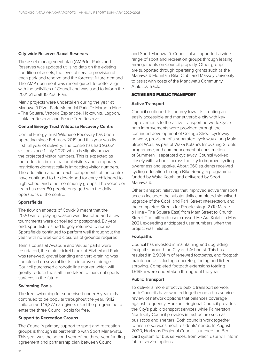#### **City-wide Reserves/Local Reserves**

The asset management plan (AMP) for Parks and Reserves was updated utilising data on the existing condition of assets, the level of service provision at each park and reserve and the forecast future demand. The AMP document was reconfigured, to better align with the activities of Council and was used to inform the 2021-31 draft 10-Year Plan.

Many projects were undertaken during the year at Manawatū River Park, Memorial Park, Te Marae o Hine - The Square, Victoria Esplanade, Hokowhitu Lagoon, Linklater Reserve and Peace Tree Reserve.

#### **Central Energy Trust Wildbase Recovery Centre**

Central Energy Trust Wildbase Recovery has been operating since February 2019 and this year was its first full year of delivery. The centre has had 93,621 visitors since 1 July 2020 which is slightly below the projected visitor numbers. This is expected as the reduction in international visitors and temporary restrictions domestically is impacting visitor numbers. The education and outreach components of the centre have continued to be developed for early childhood to high school and other community groups. The volunteer team has over 80 people engaged with the daily operations of the centre.

#### **Sportsfields**

The flow on impacts of Covid-19 meant that the 2020 winter playing season was disrupted and a few tournaments were cancelled or postponed. By year end, sport fixtures had largely returned to normal. Sportsfields continued to perform well throughout the year, with no weekend closures of grounds required.

Tennis courts at Awapuni and Vautier parks were resurfaced, the main cricket block at Fitzherbert Park was renewed, gravel banding and verti-draining was completed on several fields to improve drainage. Council purchased a robotic line marker which will greatly reduce the staff time taken to mark out sports surfaces in the future.

#### **Swimming Pools**

The free swimming for supervised under 5 year olds continued to be popular throughout the year, 19,112 children and 16,377 caregivers used the programme to enter the three Council pools for free.

#### **Support to Recreation Groups**

The Council's primary support to sport and recreation groups is through its partnership with Sport Manawatū. This year was the second year of the three-year funding agreement and partnership plan between Council

and Sport Manawatū. Council also supported a widerange of sport and recreation groups through leasing arrangements on Council property. Other groups are supported through operating grants such as the Manawatū Mountain Bike Club, and Massey University to assist with costs of the Manawatū Community Athletics Track.

#### ACTIVE AND PUBLIC TRANSPORT

#### **Active Transport**

Council continued its journey towards creating an easily accessible and maneuverable city with key improvements to the active transport network. Cycle path improvements were provided through the continued development of College Street cycleway network, provision of a separated cycleway along Main Street West, as part of Waka Kotahi's Innovating Streets programme, and commencement of construction of Summerhill separated cycleway. Council worked closely with schools across the city to improve cycling awareness and uptake. About 660 students received cycling education through Bike Ready, a programme funded by Waka Kotahi and delivered by Sport Manawatū.

Other transport initiatives that improved active transport access included the substantially completed signalised upgrade of the Cook and Park Street intersection, and the completed Streets for People stage 2 (Te Marae o Hine - The Square East) from Main Street to Church Street. The millionth user crossed He Ara Kotahi in May 2021, exceeding anticipated user numbers when the project was initiated.

#### **Footpaths**

Council has invested in maintaining and upgrading footpaths around the City and Ashhurst. This has resulted in 2.960km of renewed footpaths, and footpath maintenance including concrete grinding and lichen spraying. Completed footpath extensions totaling 1.519km were undertaken throughout the year.

#### **Public Transport**

To deliver a more effective public transport service, both Councils have worked together on a bus service review of network options that balances coverage against frequency. Horizons Regional Council provides the City's public transport services while Palmerston North City Council provides infrastructure such as bus stops and shelters. Both councils work together to ensure services meet residents' needs. In August 2020, Horizons Regional Council launched the Bee card system for bus services, from which data will inform future service options.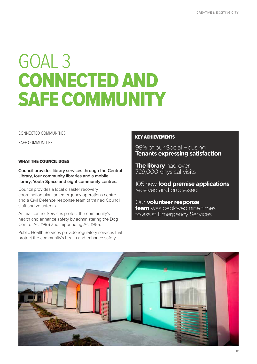## GOAL 3 CONNECTED AND SAFE COMMUNITY

CONNECTED COMMUNITIES

SAFE COMMUNITIES

#### WHAT THE COUNCIL DOES

**Council provides library services through the Central Library, four community libraries and a mobile library; Youth Space and eight community centres.** 

Council provides a local disaster recovery coordination plan, an emergency operations centre and a Civil Defence response team of trained Council staff and volunteers.

Animal control Services protect the community's health and enhance safety by administering the Dog Control Act 1996 and Impounding Act 1955.

Public Health Services provide regulatory services that protect the community's health and enhance safety.

#### KEY ACHIEVEMENTS

98% of our Social Housing **Tenants expressing satisfaction**

**The library** had over 729,000 physical visits

105 new **food premise applications** received and processed

Our **volunteer response team** was deployed nine times to assist Emergency Services

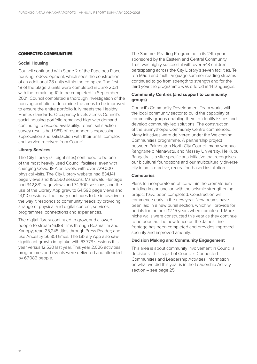#### CONNECTED COMMUNITIES

#### **Social Housing**

Council continued with Stage 2 of the Papaioea Place housing redevelopment, which sees the construction of an additional 28 units within the complex. The first 18 of the Stage 2 units were completed in June 2021 with the remaining 10 to be completed in September 2021. Council completed a thorough investigation of the housing portfolio to determine the areas to be improved to ensure the entire portfolio fully meets the Healthy Homes standards. Occupancy levels across Council's social housing portfolio remained high with demand continuing to exceed availability. Tenant satisfaction survey results had 98% of respondents expressing appreciation and satisfaction with their units, complex and service received from Council.

#### **Library Services**

The City Library (all eight sites) continued to be one of the most heavily used Council facilities, even with changing Covid-19 Alert levels, with over 729,000 physical visits. The City Library website had 834,141 page views and 185,560 sessions; Manawatū Heritage had 342,881 page views and 74,900 sessions; and the use of the Library App grew to 64,590 page views and 13,110 sessions. The library continues to be innovative in the way it responds to community needs by providing a range of physical and digital content, services, programmes, connections and experiences.

The digital library continued to grow, and allowed people to stream 16,198 films through Beamafilm and Kanopy; read 25,245 titles through Press Reader; and use Ancestry 56,851 times. The Library App also saw significant growth in uptake with 63,778 sessions this year versus 12,530 last year. This year 2,026 activities, programmes and events were delivered and attended by 67,082 people.

The Summer Reading Programme in its 24th year sponsored by the Eastern and Central Community Trust was highly successful with over 548 children participating across the City Library's seven facilities. Te reo Māori and multi-language summer reading streams continued to go from strength to strength and for the third year the programme was offered in 14 languages.

#### **Community Centres (and support to community groups)**

Council's Community Development Team works with the local community sector to build the capability of community groups enabling them to identify issues and develop community led solutions. The construction of the Bunnythorpe Community Centre commenced. Many initiatives were delivered under the Welcoming Communities programme. A partnership project between Palmerston North City Council, mana whenua Rangitāne o Manawatū, and Massey University, He Kupu Rangatira is a site-specific arts initiative that recognises our bicultural foundations and our multiculturally diverse city in an interactive, recreation-based installation.

#### **Cemeteries**

Plans to incorporate an office within the crematorium building in conjunction with the seismic strengthening project have been completed. Construction will commence early in the new year. New beams have been laid in a new burial section, which will provide for burials for the next 12-15 years when completed. More niche walls were constructed this year as they continue to be popular. The new fence on the James Line frontage has been completed and provides improved security and improved amenity.

#### **Decision Making and Community Engagement**

This area is about community involvement in Council's decisions. This is part of Council's Connected Communities and Leadership Activities. Information on what we did this year is in the Leadership Activity section – see page 25.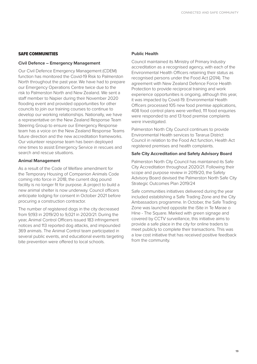#### SAFE COMMUNITIES

#### **Civil Defence – Emergency Management**

Our Civil Defence Emergency Management (CDEM) function has monitored the Covid-19 Risk to Palmerston North throughout the past year. We have had to prepare our Emergency Operations Centre twice due to the risk to Palmerston North and New Zealand. We sent a staff member to Napier during their November 2020 flooding event and provided opportunities for other councils to join our training courses to continue to develop our working relationships. Nationally, we have a representative on the New Zealand Response Team Steering Group to ensure our Emergency Response team has a voice on the New Zealand Response Teams future direction and the new accreditation frameworks. Our volunteer response team has been deployed nine times to assist Emergency Service in rescues and search and rescue situations.

#### **Animal Management**

As a result of the Code of Welfare amendment for the Temporary Housing of Companion Animals Code coming into force in 2018, the current dog pound facility is no longer fit for purpose. A project to build a new animal shelter is now underway. Council officers anticipate lodging for consent in October 2021 before procuring a construction contractor.

The number of registered dogs in the city decreased from 9,193 in 2019/20 to 9,021 in 2020/21. During the year, Animal Control Officers issued 183 infringement notices and 113 reported dog attacks, and impounded 369 animals. The Animal Control team participated in several public events, and educational events targeting bite prevention were offered to local schools.

#### **Public Health**

Council maintained its Ministry of Primary Industry accreditation as a recognised agency, with each of the Environmental Health Officers retaining their status as recognised persons under the Food Act (2014). The agreement with New Zealand Defence Force Health Protection to provide reciprocal training and work experience opportunities is ongoing, although this year, it was impacted by Covid-19. Environmental Health Officers processed 105 new food premise applications, 408 food control plans were verified, 111 food enquiries were responded to and 13 food premise complaints were investigated.

Palmerston North City Council continues to provide Environmental Health services to Tararua District Council in relation to the Food Act function, Health Act registered premises and health complaints.

#### **Safe City Accreditation and Safety Advisory Board**

Palmerston North City Council has maintained its Safe City Accreditation throughout 2020/21. Following their scope and purpose review in 2019/20, the Safety Advisory Board devised the Palmerston North Safe City Strategic Outcomes Plan 2019/24

Safe communities initiatives delivered during the year included establishing a Safe Trading Zone and the City Ambassadors programme. In October, the Safe Trading Zone was launched opposite the iSite in Te Marae o Hine - The Square. Marked with green signage and covered by CCTV surveillance, this initiative aims to provide a safe place in the city for online traders to meet publicly to complete their transactions. This was a low cost initiative that has received positive feedback from the community.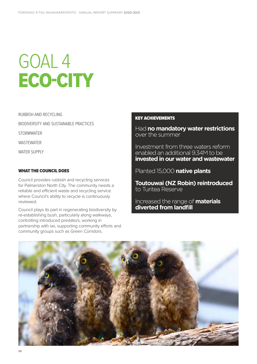# GOAL 4 ECO-CITY

RUBBISH AND RECYCLING

BIODIVERSITY AND SUSTAINABLE PRACTICES

**STORMWATER** 

WASTEWATER

WATER SUPPLY

#### WHAT THE COUNCIL DOES

Council provides rubbish and recycling services for Palmerston North City. The community needs a reliable and efficient waste and recycling service where Council's ability to recycle is continuously reviewed.

Council plays its part in regenerating biodiversity by re-establishing bush, particularly along walkways, controlling introduced predators, working in partnership with iwi, supporting community efforts and community groups such as Green Corridors.

#### KEY ACHIEVEMENTS

Had **no mandatory water restrictions** over the summer

Investment from three waters reform enabled an additional 9.34M to be **invested in our water and wastewater**

Planted 15,000 **native plants**

**Toutouwai (NZ Robin) reintroduced** to Turitea Reserve

Increased the range of **materials diverted from landfill**

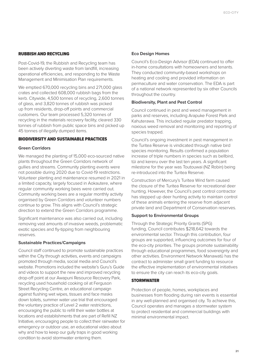#### RUBBISH AND RECYCLING

Post-Covid-19, the Rubbish and Recycling team has been actively diverting waste from landfill, increasing operational efficiencies, and responding to the Waste Management and Minimisation Plan requirements.

We emptied 670,000 recycling bins and 271,000 glass crates and collected 608,000 rubbish bags from the kerb. Citywide, 4,500 tonnes of recycling, 2,600 tonnes of glass, and 3,820 tonnes of rubbish was picked up from residents, drop-off points and commercial customers. Our team processed 5,320 tonnes of recycling in the materials recovery facility, cleared 330 tonnes of rubbish from public space bins and picked up 45 tonnes of illegally dumped items.

#### BIODIVERSITY AND SUSTAINABLE PRACTICES

#### **Green Corridors**

We managed the planting of 15,000 eco-sourced native plants throughout the Green Corridors network of gullies and streams. Community planting events were not possible during 2020 due to Covid-19 restrictions. Volunteer planting and maintenance resumed in 2021 in a limited capacity, largely focused in Aokautere, where regular community working bees were carried out. Community working bees are a regular monthly activity organised by Green Corridors and volunteer numbers continue to grow. This aligns with Council's strategic direction to extend the Green Corridors programme.

Significant maintenance was also carried out, including removing vast amounts of invasive weeds, problematic exotic species and fly-tipping from neighbouring reserves.

#### **Sustainable Practices/Campaigns**

Council staff continued to promote sustainable practices within the City through activities, events and campaigns promoted through media, social media and Council's website. Promotions included the website's Guru's Guide and videos to support the new and improved recycling drop-off point at our Awapuni Resource Recovery Park, recycling used household cooking oil at Ferguson Street Recycling Centre, an educational campaign against flushing wet wipes, tissues and face masks down toilets, summer water use trial that encouraged the voluntary practice of Level 2 water restrictions, encouraging the public to refill their water bottles at locations and establishments that are part of Refill NZ Initiative, encouraging people to collect their rainwater for emergency or outdoor use, an educational video about why and how to keep our gully traps in good working condition to avoid stormwater entering them.

#### **Eco Design Homes**

Council's Eco-Design Advisor (EDA) continued to offer in-home consultations with homeowners and tenants. They conducted community-based workshops on heating and cooling and provided information on permaculture and water conservation. The EDA is part of a national network represented by six other Councils throughout the country.

#### **Biodiversity, Plant and Pest Control**

Council continued in pest and weed management in parks and reserves, including Arapuke Forest Park and Kahuterawa. This included regular predator trapping, noxious weed removal and monitoring and reporting of species trapped.

Council's ongoing investment in pest management in the Turitea Reserve is vindicated through native bird species monitoring. Results confirmed a population increase of triple numbers in species such as bellbird, tūi and kereru over the last ten years. A significant milestone for the year was Toutouwai (NZ Robin) being re-introduced into the Turitea Reserve.

Construction of Mercury's Turitea Wind farm caused the closure of the Turitea Reserve for recreational deer hunting. However, the Council's pest control contractor has stepped up deer hunting activity to maintain control of these animals entering the reserve from adjacent private land and Department of Conservation reserves.

#### **Support to Environmental Groups**

Through the Strategic Priority Grants (SPG) funding, Council contributes \$218,642 towards the environmental sector. Through this contribution, four groups are supported, influencing outcomes for four of the eco-city priorities. The groups promote sustainability through educational programmes, food sovereignty and other activities. Environment Network Manawatū has the contract to administer small grant funding to resource the effective implementation of environmental initiatives to ensure the city can reach its eco-city goals.

#### **STORMWATER**

Protection of people, homes, workplaces and businesses from flooding during rain events is essential in any well-planned and organised city. To achieve this, Council operates and manages a stormwater system to protect residential and commercial buildings with minimal environmental impact.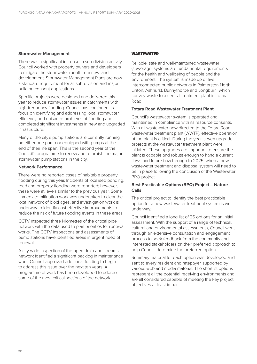#### **Stormwater Management**

There was a significant increase in sub-division activity. Council worked with property owners and developers to mitigate the stormwater runoff from new land development. Stormwater Management Plans are now a standard requirement for all sub-division and major building consent applications

Specific projects were designed and delivered this year to reduce stormwater issues in catchments with high-frequency flooding. Council has continued its focus on identifying and addressing local stormwater efficiency and nuisance problems of flooding and completed significant investments in new and upgraded infrastructure.

Many of the city's pump stations are currently running on either one pump or equipped with pumps at the end of their life span. This is the second year of the Council's programme to renew and refurbish the major stormwater pump stations in the city.

#### **Network Performance**

There were no reported cases of habitable property flooding during this year. Incidents of localised ponding, road and property flooding were reported; however, these were at levels similar to the previous year. Some immediate mitigation work was undertaken to clear the local network of blockages, and investigation work is underway to identify cost-effective improvements to reduce the risk of future flooding events in these areas.

CCTV inspected three kilometres of the critical pipe network with the data used to plan priorities for renewal works. The CCTV inspections and assessments of pump stations have identified areas in urgent need of renewal.

A city-wide inspection of the open drain and streams network identified a significant backlog in maintenance work. Council approved additional funding to begin to address this issue over the next ten years. A programme of work has been developed to address some of the most critical sections of the network.

#### **WASTEWATER**

Reliable, safe and well-maintained wastewater (sewerage) systems are fundamental requirements for the health and wellbeing of people and the environment. The system is made up of five interconnected public networks in Palmerston North, Linton, Ashhurst, Bunnythorpe and Longburn, which convey waste to a central treatment plant in Totara Road.

#### **Totara Road Wastewater Treatment Plant**

Council's wastewater system is operated and maintained in compliance with its resource consents. With all wastewater now directed to the Totara Road wastewater treatment plant (WWTP), effective operation of the plant is critical. During the year, seven upgrade projects at the wastewater treatment plant were initiated. These upgrades are important to ensure the plant is capable and robust enough to handle current flows and future flow through to 2025, when a new wastewater treatment and disposal system will need to be in place following the conclusion of the Wastewater BPO project.

#### **Best Practicable Options (BPO) Project – Nature Calls**

The critical project to identify the best practicable option for a new wastewater treatment system is well underway.

Council identified a long list of 26 options for an initial assessment. With the support of a range of technical, cultural and environmental assessments, Council went through an extensive consultation and engagement process to seek feedback from the community and interested stakeholders on their preferred approach to help Council determine the preferred option.

Summary material for each option was developed and sent to every resident and ratepayer, supported by various web and media material. The shortlist options represent all the potential receiving environments and are all considered capable of meeting the key project objectives at least in part.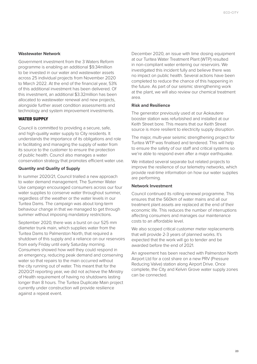#### **Wastewater Network**

Government investment from the 3 Waters Reform programme is enabling an additional \$9.34million to be invested in our water and wastewater assets across 25 individual projects from November 2020 to March 2022. At the end of the financial year, 53% of this additional investment has been delivered. Of this investment, an additional \$3.32million has been allocated to wastewater renewal and new projects, alongside further asset condition assessments and technology and system improvement investments.

#### WATER SUPPLY

Council is committed to providing a secure, safe, and high-quality water supply to City residents. It understands the importance of its obligations and role in facilitating and managing the supply of water from its source to the customer to ensure the protection of public health. Council also manages a water conservation strategy that promotes efficient water use.

#### **Quantity and Quality of Supply**

In summer 2020/21, Council trialled a new approach to water demand management. The Summer Water Use campaign encouraged consumers across our four water supplies to conserve water throughout summer. regardless of the weather or the water levels in our Turitea Dams. The campaign was about long-term behaviour change in that we managed to get through summer without imposing mandatory restrictions.

September 2020, there was a burst on our 525 mm diameter trunk main, which supplies water from the Turitea Dams to Palmerston North, that required a shutdown of this supply and a reliance on our reservoirs from early Friday until early Saturday morning. Consumers showed how well they could respond in an emergency, reducing peak demand and conserving water so that repairs to the main occurred without the city running out of water. This meant that for the 2020/21 reporting year, we did not achieve the Ministry of Health requirement of having no shutdowns lasting longer than 8 hours. The Turitea Duplicate Main project currently under construction will provide resilience against a repeat event.

December 2020, an issue with lime dosing equipment at our Turitea Water Treatment Plant (WTP) resulted in non-compliant water entering our reservoirs. We investigated this incident fully and believe there was no impact on public health. Several actions have been completed to reduce the chance of this happening in the future. As part of our seismic strengthening work at the plant, we will also review our chemical treatment area.

#### **Risk and Resilience**

The generator previously used at our Aokautere booster station was refurbished and installed at our Keith Street bore. This means that our Keith Street source is more resilient to electricity supply disruption.

The major, multi-year seismic strengthening project for Turitea WTP was finalised and tendered. This will help to ensure the safety of our staff and critical systems so we're able to respond even after a major earthquake.

We initiated several separate but related projects to improve the resilience of our telemetry networks, which provide real-time information on how our water supplies are performing.

#### **Network Investment**

Council continued its rolling renewal programme. This ensures that the 560km of water mains and all our treatment plant assets are replaced at the end of their economic life. This reduces the number of interruptions affecting consumers and manages our maintenance costs to an affordable level.

We also scoped critical customer meter replacements that will provide 2-3 years of planned works. It's expected that the work will go to tender and be awarded before the end of 2021.

An agreement has been reached with Palmerston North Airport Ltd for a cost share on a new PRV (Pressure Reducing Valve) station along Airport Drive. Once complete, the City and Kelvin Grove water supply zones can be connected.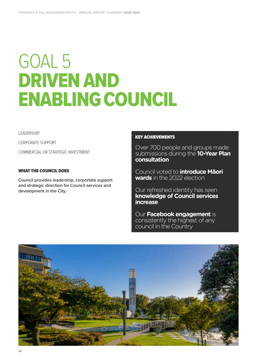# GOAL 5 DRIVEN AND ENABLING COUNCIL

LEADERSHIP

CORPORATE SUPPORT

COMMERCIAL OR STRATEGIC INVESTMENT

#### WHAT THE COUNCIL DOES

**Council provides leadership, corportate support and strategic direction for Council services and development in the City.**

#### KEY ACHIEVEMENTS

Over 700 people and groups made submissions during the **10-Year Plan consultation**

Council voted to **introduce Māori wards** in the 2022 election

Our refreshed identity has seen **knowledge of Council services increase**

Our **Facebook engagement** is consistently the highest of any council in the Country

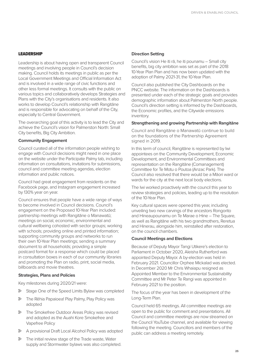#### **LEADERSHIP**

Leadership is about having open and transparent Council meetings and involving people in Council's decision making. Council holds its meetings in public as per the Local Government Meetings and Official Information Act and is involved in a wide range of civic functions and other less formal meetings. It consults with the public on various topics and collaboratively develops Strategies and Plans with the City's organisations and residents. It also works to develop Council's relationship with Rangitāne and is responsible for advocating on behalf of the City, especially to Central Government.

The overarching goal of this activity is to lead the City and achieve the Council's vision for Palmerston North: Small City benefits, Big City Ambition.

#### **Community Engagement**

Council curated all of the information people wishing to engage with Council decisions might need in one place on the website under the Participate Palmy tab, including information on consultations, invitations for submissions, council and committee meeting agendas, election information and public notices.

Council had great engagement from residents on the Facebook page, and Instagram engagement increased by 130% year on year.

Council ensures that people have a wide range of ways to become involved in Council decisions. Council's engagement on the Proposed 10-Year Plan included: partnership meetings with Rangitāne o Manawatū; meetings on social, economic, environmental and cultural wellbeing cohosted with sector groups; working with schools; providing online and printed information; supporting community groups and networks to run their own 10-Year Plan meetings; sending a summary document to all households; providing a simple postcard format for a response which could be placed in consultation boxes in each of our community libraries and promoting the Plan on radio, print, social media, billboards and movie theatres.

#### **Strategies, Plans and Policies**

Key milestones during 2020/21 were:

- Stage One of the Speed Limits Bylaw was completed
- The Rēhia Papaioea! Play Palmy, Play Policy was adopted
- The Smokefree Outdoor Areas Policy was revised and adopted as the Auahi Kore Smokefree and Vapefree Policy
- A provisional Draft Local Alcohol Policy was adopted
- $\triangleright$  The initial review stage of the Trade waste, Water supply and Stormwater bylaws was also completed.

#### **Direction Setting**

Council's vision He iti rā, he iti pounamu – Small city benefits, big city ambition was set as part of the 2018 10-Year Plan Plan and has now been updated with the adoption of Palmy 2021-31, the 10-Year Plan.

Council also published the City Dashboards on the PNCC website. The information on the Dashboards is presented under each of the strategic goals and provides demographic information about Palmerston North people. Council's direction setting is informed by the Dashboards, the Economic profiles, and the Citywide emissions inventory.

#### **Strengthening and growing Partnership with Rangitāne**

Council and Rangitāne o Manawatū continue to build on the foundations of the Partnership Agreement signed in 2019.

In this term of council, Rangitāne is represented by Iwi appointees on the Community Development, Economic Development, and Environmental Committees and representation on the Rangitāne (Comanagement) Committee for Te Motu o Poutoa (Anzac Park). The Council also resolved that there would be a Māori ward or wards for the city at the next local body elections.

The Iwi worked proactively with the council this year to review strategies and policies, leading up to the resolution of the 10-Year Plan.

Key cultural spaces were opened this year, including unveiling two new carvings of the ancestors Rongorito and Hineaupounamu on Te Marae o Hine – The Square, as well as Rangitāne with his two grandmothers, Reretua and Hinerau, alongside him, reinstalled after restoration, on the council chambers.

#### **Council Meetings and Elections**

Because of Deputy Mayor Tangi Utikere's election to Parliament in October 2020, Aleisha Rutherford was appointed Deputy Mayor. A by-election was held in February 2021. Councillor Orphee Mickalad was elected. In December 2020 Mr Chris Whaiapu resigned as Appointed Member to the Environmental Sustainability Committee and Mr Peter Te Rangi was appointed in February 2021 to the position.

The focus of the year has been in development of the Long-Term Plan.

Council held 65 meetings. All committee meetings are open to the public for comment and presentations. All Council and committee meetings are now streamed on the Council YouTube channel, and available for viewing following the meeting. Councillors and members of the public can address a meeting remotely.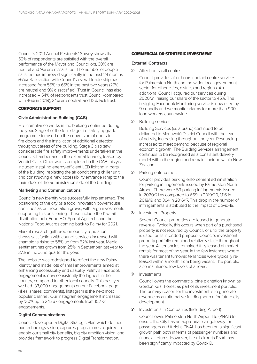Council's 2021 Annual Residents' Survey shows that 62% of respondents are satisfied with the overall performance of the Mayor and Councillors, 30% are neutral and 9% are dissatisfied. The number of people satisfied has improved significantly in the past 24 months (+7%). Satisfaction with Council's overall leadership has increased from 55% to 65% in the past two years (27% are neutral and 9% dissatisfied). Trust in Council has also increased – 54% of respondents trust Council (compared with 46% in 2019), 34% are neutral, and 12% lack trust.

#### CORPORATE SUPPORT

#### **Civic Administration Building (CAB)**

Fire compliance works in the building continued during the year. Stage 3 of the four-stage fire safety upgrade programme focused on the conversion of doors to fire doors and the installation of additional detection throughout areas of the building. Stage 3 also saw considerable fire safety improvements undertaken in the Council Chamber and in the external tenancy, leased by Verdict Café. Other works completed in the CAB this year included installing energy-efficient LED lighting in parts of the building, replacing the air conditioning chiller unit, and constructing a new accessibility entrance ramp to the main door of the administration side of the building.

#### **Marketing and Communications**

Council's new identity was successfully implemented. The positioning of the city as a food innovation powerhouse continues as our reputation grows, with large investments supporting this positioning. These include the Kiwirail distribution hub, Food HQ, Sprout Agritech, and the National Food Awards coming back to Palmy for 2021.

Market research gathered on our city reputation shows satisfaction with council services increased with champions rising to 58% up from 52% last year. Media sentiment has grown from 25% in September last year to 37% in the June quarter this year.

The website was redesigned to reflect the new Palmy identity and made lots of small improvements aimed at enhancing accessibility and usability. Palmy's Facebook engagement is now consistently the highest in the country, compared to other local councils. This past year we had 133,000 engagements on our Facebook page (likes, shares, comments). Instagram is the next most popular channel. Our Instagram engagement increased by 130% up to 24,767 engagements from 10,773 engagements.

#### **Digital Communications**

Council developed a Digital Strategic Plan which defines our technology vision, captures programmes required to enable our small city benefits, big city ambition vision, and provides framework to progress Digital Transformation.

#### COMMERCIAL OR STRATEGIC INVESTMENT

#### **External Contracts**

• After-hours call centre

Council provides after-hours contact centre services for Palmerston North and the wider local government sector for other cities, districts and regions. An additional Council acquired our services during 2020/21, raising our share of the sector to 45%. The fledgling Facebook Monitoring service is now used by 9 councils and we monitor alarms for more than 900 lone workers countrywide.

• Building services

Building Services (as a brand) continued to be delivered to Manawatū District Council with the level of activity, increasing throughout the year. Resourcing increased to meet demand because of regional economic growth. The Building Services arrangement continues to be recognised as a consistent delivery model within the region and remains unique within New Zealand.

• Parking enforcement

Council provides parking enforcement administration for parking infringements issued by Palmerston North Airport. There were 59 parking infringements issued in 2020/21 as compared to 669 in 2019/20, 1,116 in 2018/19 and 364 in 2016/17. This drop in the number of infringements is attributed to the impact of Covid-19.

• Investment Property

Several Council properties are leased to generate revenue. Typically, this occurs when part of a purchased property is not required by Council, or until the property is used for its intended purpose. Council's investment property portfolio remained relatively static throughout the year. All tenancies remained fully leased at market rentals for most of the year. In the few instances where there was tenant turnover, tenancies were typically released within a month from being vacant. The portfolio also maintained low levels of arrears.

• Investments

Council owns the commercial pine plantation known as Gordon Kear Forest as part of its investment portfolio. The primary reason for the investment is to generate revenue as an alternative funding source for future city development.

• Investments in Companies (Including Airport)

Council owns Palmerston North Airport Ltd (PNAL) to ensure the City has an appropriate air gateway for passengers and freight. PNAL has been on a significant growth path both in terms of passenger numbers and financial returns. However, like all airports PNAL has been significantly impacted by Covid-19.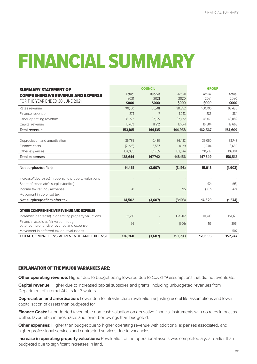# FINANCIAL SUMMARY

| <b>SUMMARY STATEMENT OF</b>                                                       | <b>COUNCIL</b> |               |         | <b>GROUP</b> |         |
|-----------------------------------------------------------------------------------|----------------|---------------|---------|--------------|---------|
| <b>COMPREHENSIVE REVENUE AND EXPENSE</b>                                          | Actual         | <b>Budget</b> | Actual  | Actual       | Actual  |
| FOR THE YEAR ENDED 30 JUNE 2021                                                   | 2021           | 2021          | 2020    | 2021         | 2020    |
|                                                                                   | \$000          | \$000         | \$000   | \$000        | \$000   |
| Rates revenue                                                                     | 101,100        | 100.781       | 98,852  | 100.706      | 98,480  |
| Finance revenue                                                                   | 274            | 17            | 1,043   | 286          | 384     |
| Other operating revenue                                                           | 35,272         | 32,125        | 32,422  | 45.071       | 43,082  |
| Capital revenue                                                                   | 16,459         | 11,212        | 12,641  | 16,504       | 12,663  |
| <b>Total revenue</b>                                                              | 153,105        | 144,135       | 144,958 | 162,567      | 154,609 |
| Depreciation and amortisation                                                     | 36,785         | 40,430        | 36,483  | 39.060       | 38,748  |
| Finance costs                                                                     | (2, 226)       | 5,557         | 8,129   | (1,748)      | 8,660   |
| Other expenses                                                                    | 104,085        | 101,755       | 103,544 | 110,237      | 109,104 |
| <b>Total expenses</b>                                                             | 138,644        | 147,742       | 148,156 | 147,549      | 156,512 |
|                                                                                   |                |               |         |              |         |
| Net surplus/(deficit)                                                             | 14,461         | (3,607)       | (3,198) | 15,018       | (1,903) |
| Increase/(decrease) in operating property valuations                              |                |               |         |              |         |
| Share of associate's surplus/(deficit)                                            |                |               |         | (92)         | (95)    |
| Income tax refund / (expense)                                                     | 41             |               | 95      | (397)        | 424     |
| Movement in deferred tax                                                          |                |               |         |              |         |
| Net surplus/(deficit) after tax                                                   | 14,502         | (3,607)       | (3,103) | 14,529       | (1,574) |
|                                                                                   |                |               |         |              |         |
| <b>OTHER COMPREHENSIVE REVENUE AND EXPENSE</b>                                    |                |               |         |              |         |
| Increase/ (decrease) in operating property valuations                             | 111,710        |               | 157,202 | 114,410      | 154,120 |
| Financial assets at fair value through<br>other comprehensive revenue and expense | 56             |               | (306)   | 56           | (306)   |
| Movement in deferred tax on revaluations                                          |                |               |         |              | 507     |
| <b>TOTAL COMPREHENSIVE REVENUE AND EXPENSE</b>                                    | 126,268        | (3,607)       | 153,793 | 128,995      | 152,747 |

#### EXPLANATION OF THE MAJOR VARIANCES ARE:

**Other operating revenue:** Higher due to budget being lowered due to Covid-19 assumptions that did not eventuate.

**Capital revenue:** Higher due to increased capital subsidies and grants, including unbudgeted revenues from Department of Internal Affairs for 3 waters.

**Depreciation and amortisation:** Lower due to infrastructure revaluation adjusting useful life assumptions and lower capitalisation of assets than budgeted for.

**Finance Costs:** Unbudgeted favourable non-cash valuation on derivative financial instruments with no rates impact as well as favourable interest rates and lower borrowings than budgeted.

**Other expenses:** Higher than budget due to higher operating revenue with additional expenses associated, and higher professional services and contracted services due to vacancies.

**Increase in operating property valuations:** Revaluation of the operational assets was completed a year earlier than budgeted due to significant increases in land.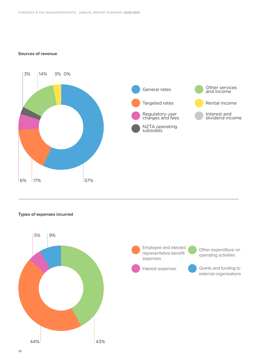#### **Sources of revenue**



#### **Types of expenses incurred**

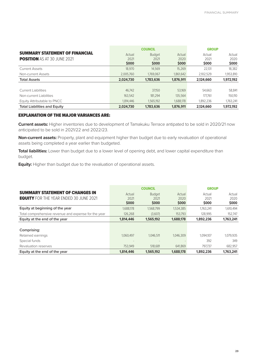|                                       | <b>COUNCIL</b> |               |           | <b>GROUP</b> |           |
|---------------------------------------|----------------|---------------|-----------|--------------|-----------|
| <b>SUMMARY STATEMENT OF FINANCIAL</b> | Actual         | <b>Budget</b> | Actual    | Actual       | Actual    |
| <b>POSITION</b> AS AT 30 JUNE 2021    | 2021           | 2021          | 2020      | 2021         | 2020      |
|                                       | <b>SOOO</b>    | <b>SOOO</b>   | \$000     | \$000        | \$000     |
| <b>Current Assets</b>                 | 18,970         | 14.569        | 15,269    | 22,131       | 18,382    |
| Non-current Assets                    | 2.005.760      | 1,769,067     | 1.861.642 | 2,102,529    | 1,953,810 |
| <b>Total Assets</b>                   | 2,024,730      | 1.783.636     | 1,876,911 | 2.124,660    | 1,972,192 |
|                                       |                |               |           |              |           |
| <b>Current Liabilities</b>            | 46.742         | 37.150        | 53,169    | 54,663       | 58,841    |
| Non-current Liabilities               | 163.542        | 181.294       | 135.564   | 177.761      | 150,110   |
| Equity Attributable to PNCC           | 1.814.446      | 1.565.192     | 1.688.178 | 1.892.236    | 1,763,241 |
| <b>Total Liabilities and Equity</b>   | 2,024,730      | 1,783,636     | 1,876,911 | 2.124,660    | 1,972,192 |

#### EXPLANATION OF THE MAJOR VARIANCES ARE:

**Current assets:** Higher inventories due to development of Tamakuku Terrace antipated to be sold in 2020/21 now anticipated to be sold in 2021/22 and 2022/23.

**Non-current assets:** Property, plant and equipment higher than budget due to early revaluation of operational assets being completed a year earlier than budgeted.

**Total liabilities:** Lower than budget due to a lower level of opening debt, and lower capital expenditure than budget.

**Equity:** Higher than budget due to the revaluation of operational assets.

|                                                      | <b>COUNCIL</b>      |                      |                     | <b>GROUP</b>  |               |
|------------------------------------------------------|---------------------|----------------------|---------------------|---------------|---------------|
| <b>SUMMARY STATEMENT OF CHANGES IN</b>               | Actual              | <b>Budget</b>        | Actual              | Actual        | Actual        |
| <b>EQUITY</b> FOR THE YEAR ENDED 30 JUNE 2021        | 2021<br><b>SOOO</b> | 2021<br><b>\$000</b> | 2020<br><b>SOOO</b> | 2021<br>\$000 | 2020<br>\$000 |
| Equity at beginning of the year                      | 1,688,178           | 1.568.799            | 1,534,385           | 1,763,241     | 1,610,494     |
| Total comprehensive revenue and expense for the year | 126,268             | (3,607)              | 153.793             | 128,995       | 152.747       |
| Equity at the end of the year                        | 1.814.446           | 1,565,192            | 1,688,178           | 1,892,236     | 1,763,241     |
|                                                      |                     |                      |                     |               |               |
| Comprising:                                          |                     |                      |                     |               |               |
| Retained earnings                                    | 1.060.497           | 1.046.511            | 1.046.309           | 1.094.107     | 1,079,935     |
| Special funds                                        |                     |                      |                     | 392           | 349           |
| Revaluation reserves                                 | 753.949             | 518.681              | 641.869             | 797.737       | 682.957       |
| Equity at the end of the year                        | 1.814.446           | 1,565,192            | 1,688,178           | 1,892,236     | 1,763,241     |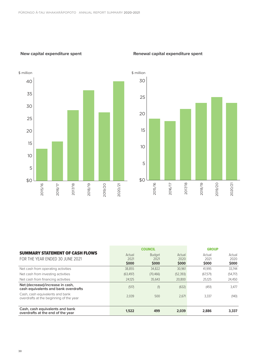#### **New capital expenditure spent**



#### **Renewal capital expenditure spent**



|                                                                            | <b>COUNCIL</b>      |                     |                     | <b>GROUP</b>         |               |
|----------------------------------------------------------------------------|---------------------|---------------------|---------------------|----------------------|---------------|
| <b>SUMMARY STATEMENT OF CASH FLOWS</b><br>FOR THE YEAR ENDED 30 JUNE 2021  | Actual              | <b>Budget</b>       | Actual              | Actual               | Actual        |
|                                                                            | 2021<br><b>S000</b> | 2021<br><b>SOOO</b> | 2020<br><b>SOOO</b> | 2021<br><b>\$000</b> | 2020<br>\$000 |
| Net cash from operating activities                                         | 38,855              | 34,822              | 30,961              | 41,995               | 33,744        |
| Net cash from investing activities                                         | (63, 497)           | (70, 466)           | (52, 393)           | (67, 571)            | (54,717)      |
| Net cash from financing activities                                         | 24.125              | 35.643              | 20,800              | 25.125               | 24,450        |
| Net (decrease)/increase in cash,<br>cash equivalents and bank overdrafts   | (517)               | (1)                 | (632)               | (451)                | 3,477         |
| Cash, cash equivalents and bank<br>overdrafts at the beginning of the year | 2.039               | 500                 | 2,671               | 3,337                | (140)         |
| Cash, cash equivalents and bank<br>overdrafts at the end of the year       | 1.522               | 499                 | 2.039               | 2.886                | 3.337         |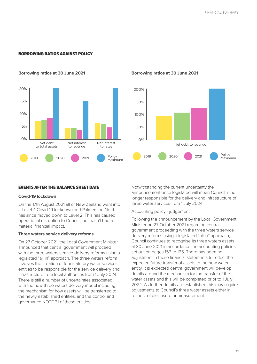#### BORROWING RATIOS AGAINST POLICY



#### **Borrowing ratios at 30 June 2021 Borrowing ratios at 30 June 2021**



#### EVENTS AFTER THE BALANCE SHEET DATE

#### **Covid-19 lockdown**

On the 17th August 2021 all of New Zealand went into a Level 4 Covid-19 lockdown and Palmerston North has since moved down to Level 2. This has caused operational disruption to Council, but hasn't had a material financial impact.

#### **Three waters service delivery reforms**

On 27 October 2021, the Local Government Minister announced that central government will proceed with the three waters service delivery reforms using a legislated "all in" approach. The three waters reform involves the creation of four statutory water services entities to be responsible for the service delivery and infrastructure from local authorities from 1 July 2024. There is still a number of uncertainties associated with the new three waters delivery model including the mechanism for how assets will be transferred to the newly established entities, and the control and governance NOTE 31 of these entities.

Notwithstanding the current uncertainty the announcement once legislated will mean Council is no longer responsible for the delivery and infrastructure of three water services from 1 July 2024.

#### Accounting policy - judgement

Following the announcement by the Local Government Minister on 27 October 2021 regarding central government proceeding with the three waters service delivery reforms using a legislated "all in" approach, Council continues to recognise its three waters assets at 30 June 2021 in accordance the accounting policies set out on pages 156 to 165. There has been no adjustment in these financial statements to reflect the expected future transfer of assets to the new water entity. It is expected central government will develop details around the mechanism for the transfer of the water assets and this will be completed prior to 1 July 2024. As further details are established this may require adjustments to Council's three water assets either in respect of disclosure or measurement.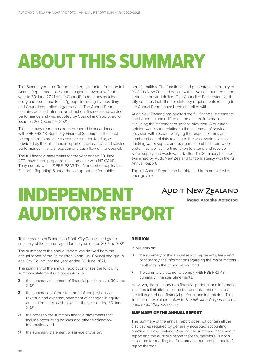# ABOUT THIS SUMMARY

This Summary Annual Report has been extracted from the full Annual Report and is designed to give an overview for the year to 30 June 2021 of the Council's operations as a legal entity and also those for its "group", including its subsidiary and Council controlled organisations. The Annual Report contains detailed information about our finances and service performance and was adopted by Council and approved for issue on 20 December 2021.

This summary report has been prepared in accordance with PBE FRS 43: Summary Financial Statements. It cannot be expected to provide as complete understanding as provided by the full financial report of the financial and service performance, financial position and cash flow of the Council.

The full financial statements for the year ended 30 June 2021 have been prepared in accordance with NZ GAAP. They comply with NZ PBE IPSAS Tier 1, and other applicable Financial Reporting Standards, as appropriate for public

benefit entities. The functional and presentation currency of PNCC is New Zealand dollars with all values rounded to the nearest thousand dollars. The Council of Palmerston North City confirms that all other statutory requirements relating to the Annual Report have been complied with.

Audit New Zealand has audited the full financial statements and issued an unmodified on the audited information, excluding the statement of service provision. A qualified opinion was issued relating to the statement of service provision with respect verifying the response times and number of complaints relating to the wastewater system, drinking water supply, and performance of the stormwater system, as well as the time taken to attend and resolve water supply and wastewater faults. This Summary has been examined by Audit New Zealand for consistency with the full Annual Report.

The full Annual Report can be obtained from our website pncc.govt.nz

Mana Arotake Aotearoa

### INDEPENDENT **AUDIT NEW ZEALAND** AUDITOR'S REPORT

To the readers of Palmerston North City Council and group's summary of the annual report for the year ended 30 June 2021

The summary of the annual report was derived from the annual report of the Palmerston North City Council and group (the City Council) for the year ended 30 June 2021.

The summary of the annual report comprises the following summary statements on pages 4 to 32:

- $\triangleright$  the summary statement of financial position as at 30 June 2021;
- $\triangleright$  the summaries of the statement of comprehensive revenue and expense, statement of changes in equity and statement of cash flows for the year ended 30 June  $2021$
- $\triangleright$  the notes to the summary financial statements that include accounting policies and other explanatory information; and
- $\triangleright$  the summary statement of service provision.

#### OPINION

In our opinion:

- $\triangleright$  the summary of the annual report represents, fairly and consistently, the information regarding the major matters dealt with in the annual report; and
- $\triangleright$  the summary statements comply with PBE FRS-43: Summary Financial Statements.

However, the summary non-financial performance information includes a limitation in scope to the equivalent extent as the full audited non-financial performance information. This limitation is explained below in *The full annual report and our audit report thereon* section.

#### SUMMARY OF THE ANNUAL REPORT

The summary of the annual report does not contain all the disclosures required by generally accepted accounting practice in New Zealand. Reading the summary of the annual report and the auditor's report thereon, therefore, is not a substitute for reading the full annual report and the auditor's report thereon.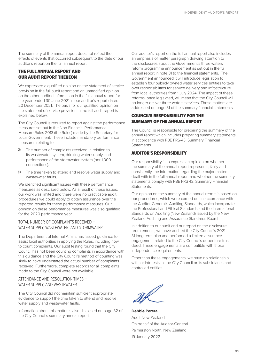The summary of the annual report does not reflect the effects of events that occurred subsequent to the date of our auditor's report on the full annual report.

#### THE FULL ANNUAL REPORT AND OUR AUDIT REPORT THEREON

We expressed a qualified opinion on the statement of service provision in the full audit report and an unmodified opinion on the other audited information in the full annual report for the year ended 30 June 2021 in our auditor's report dated 20 December 2021. The basis for our qualified opinion on the statement of service provision in the full audit report is explained below.

The City Council is required to report against the performance measures set out in the Non-Financial Performance Measure Rules 2013 (the Rules) made by the Secretary for Local Government. These include mandatory performance measures relating to:

- $\triangleright$  The number of complaints received in relation to its wastewater system, drinking water supply, and performance of the stormwater system (per 1,000 connections).
- $\triangleright$  The time taken to attend and resolve water supply and wastewater faults.

We identified significant issues with these performance measures as described below. As a result of these issues, our work was limited and there were no practicable audit procedures we could apply to obtain assurance over the reported results for these performance measures. Our opinion on these performance measures was also qualified for the 2020 performance year.

#### TOTAL NUMBER OF COMPLAINTS RECEIVED – WATER SUPPLY, WASTEWATER, AND STORMWATER

The Department of Internal Affairs has issued guidance to assist local authorities in applying the Rules, including how to count complaints. Our audit testing found that the City Council has not been counting complaints in accordance with this guidance and the City Council's method of counting was likely to have understated the actual number of complaints received. Furthermore, complete records for all complaints made to the City Council were not available.

#### ATTENDANCE AND RESOLUTION TIMES – WATER SUPPLY, AND WASTEWATER

The City Council did not maintain sufficient appropriate evidence to support the time taken to attend and resolve water supply and wastewater faults.

Information about this matter is also disclosed on page 32 of the City Council's summary annual report.

Our auditor's report on the full annual report also includes an emphasis of matter paragraph drawing attention to the disclosures about the Government's three waters reform programme announcement as set out in the full annual report in note 31 to the financial statements. The Government announced it will introduce legislation to establish four publicly owned water services entities to take over responsibilities for service delivery and infrastructure from local authorities from 1 July 2024. The impact of these reforms, once legislated, will mean that the City Council will no longer deliver three waters services. These matters are addressed on page 31 of the summary financial statements.

#### COUNCIL'S RESPONSIBILITY FOR THE SUMMARY OF THE ANNUAL REPORT

The Council is responsible for preparing the summary of the annual report which includes preparing summary statements, in accordance with PBE FRS-43: Summary Financial Statements.

#### AUDITOR'S RESPONSIBILITY

Our responsibility is to express an opinion on whether the summary of the annual report represents, fairly and consistently, the information regarding the major matters dealt with in the full annual report and whether the summary statements comply with PBE FRS 43: Summary Financial Statements.

Our opinion on the summary of the annual report is based on our procedures, which were carried out in accordance with the Auditor-General's Auditing Standards, which incorporate the Professional and Ethical Standards and the International Standards on Auditing (New Zealand) issued by the New Zealand Auditing and Assurance Standards Board.

In addition to our audit and our report on the disclosure requirements, we have audited the City Council's 2021- 31 long-term plan and performed a limited assurance engagement related to the City Council's debenture trust deed. These engagements are compatible with those independence requirements.

Other than these engagements, we have no relationship with, or interests in, the City Council or its subsidiaries and controlled entities.

**Debbie Perera** Audit New Zealand On behalf of the Auditor-General Palmerston North, New Zealand 19 January 2022